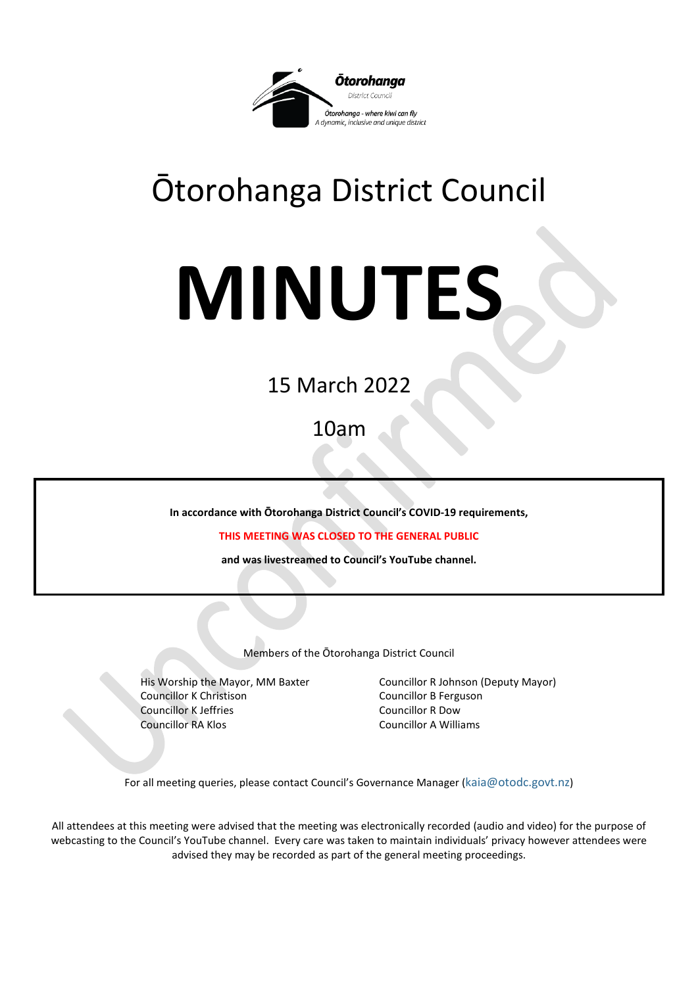

## Ōtorohanga District Council

# **MINUTES**

### 15 March 2022

10am

**In accordance with Ōtorohanga District Council's COVID-19 requirements,**

**THIS MEETING WAS CLOSED TO THE GENERAL PUBLIC**

**and was livestreamed to Council's YouTube channel.**

Members of the Ōtorohanga District Council

Councillor K Christison Councillor B Ferguson **Councillor K Jeffries Councillor R Dow** Councillor RA Klos Councillor A Williams

His Worship the Mayor, MM Baxter Councillor R Johnson (Deputy Mayor)

For all meeting queries, please contact Council's Governance Manager [\(kaia@otodc.govt.nz\)](mailto:kaia@otodc.govt.nz)

All attendees at this meeting were advised that the meeting was electronically recorded (audio and video) for the purpose of webcasting to the Council's YouTube channel. Every care was taken to maintain individuals' privacy however attendees were advised they may be recorded as part of the general meeting proceedings.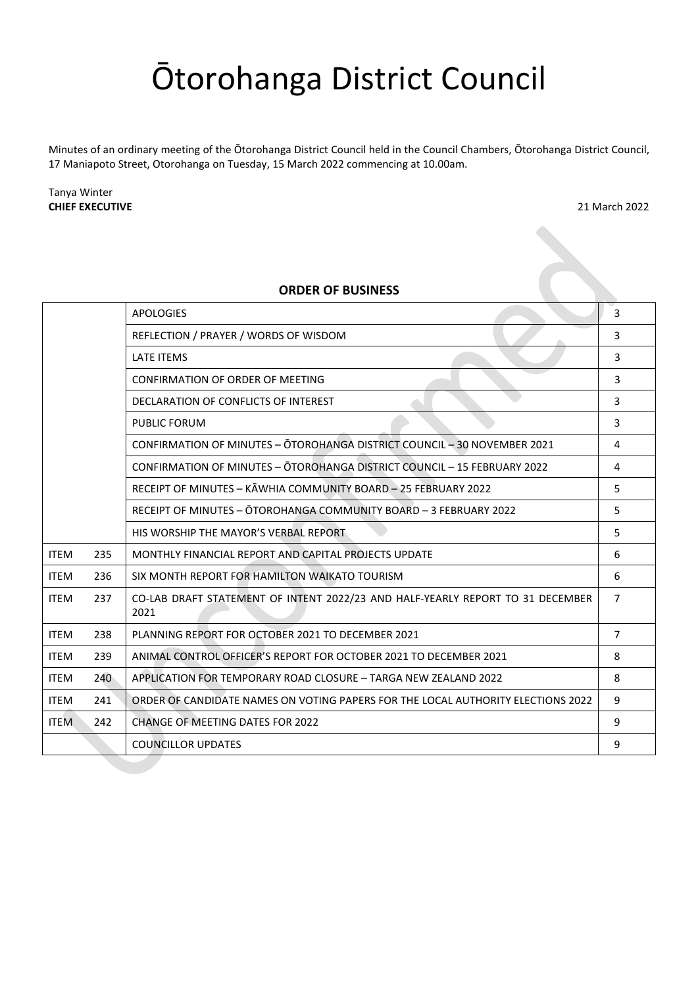## Ōtorohanga District Council

Minutes of an ordinary meeting of the Ōtorohanga District Council held in the Council Chambers, Ōtorohanga District Council, 17 Maniapoto Street, Otorohanga on Tuesday, 15 March 2022 commencing at 10.00am.

Tanya Winter **CHIEF EXECUTIVE** 21 March 2022

#### **ORDER OF BUSINESS**

|             |     | <b>APOLOGIES</b>                                                                       | 3              |
|-------------|-----|----------------------------------------------------------------------------------------|----------------|
|             |     | REFLECTION / PRAYER / WORDS OF WISDOM                                                  | 3              |
|             |     | <b>LATE ITEMS</b>                                                                      | 3              |
|             |     | CONFIRMATION OF ORDER OF MEETING                                                       | 3              |
|             |     | DECLARATION OF CONFLICTS OF INTEREST                                                   | 3              |
|             |     | <b>PUBLIC FORUM</b>                                                                    | 3              |
|             |     | CONFIRMATION OF MINUTES - OTOROHANGA DISTRICT COUNCIL - 30 NOVEMBER 2021               | 4              |
|             |     | CONFIRMATION OF MINUTES - ŌTOROHANGA DISTRICT COUNCIL - 15 FEBRUARY 2022               | 4              |
|             |     | RECEIPT OF MINUTES - KĀWHIA COMMUNITY BOARD - 25 FEBRUARY 2022                         | 5              |
|             |     | RECEIPT OF MINUTES - OTOROHANGA COMMUNITY BOARD - 3 FEBRUARY 2022                      | 5              |
|             |     | HIS WORSHIP THE MAYOR'S VERBAL REPORT                                                  | 5              |
| <b>ITEM</b> | 235 | MONTHLY FINANCIAL REPORT AND CAPITAL PROJECTS UPDATE                                   | 6              |
| <b>ITEM</b> | 236 | SIX MONTH REPORT FOR HAMILTON WAIKATO TOURISM                                          | 6              |
| <b>ITEM</b> | 237 | CO-LAB DRAFT STATEMENT OF INTENT 2022/23 AND HALF-YEARLY REPORT TO 31 DECEMBER<br>2021 | $\overline{7}$ |
| <b>ITEM</b> | 238 | PLANNING REPORT FOR OCTOBER 2021 TO DECEMBER 2021                                      | $\overline{7}$ |
| <b>ITEM</b> | 239 | ANIMAL CONTROL OFFICER'S REPORT FOR OCTOBER 2021 TO DECEMBER 2021                      | 8              |
| <b>ITEM</b> | 240 | APPLICATION FOR TEMPORARY ROAD CLOSURE - TARGA NEW ZEALAND 2022                        | 8              |
| <b>ITEM</b> | 241 | ORDER OF CANDIDATE NAMES ON VOTING PAPERS FOR THE LOCAL AUTHORITY ELECTIONS 2022       | 9              |
| <b>ITEM</b> | 242 | <b>CHANGE OF MEETING DATES FOR 2022</b>                                                | 9              |
|             |     | <b>COUNCILLOR UPDATES</b>                                                              | 9              |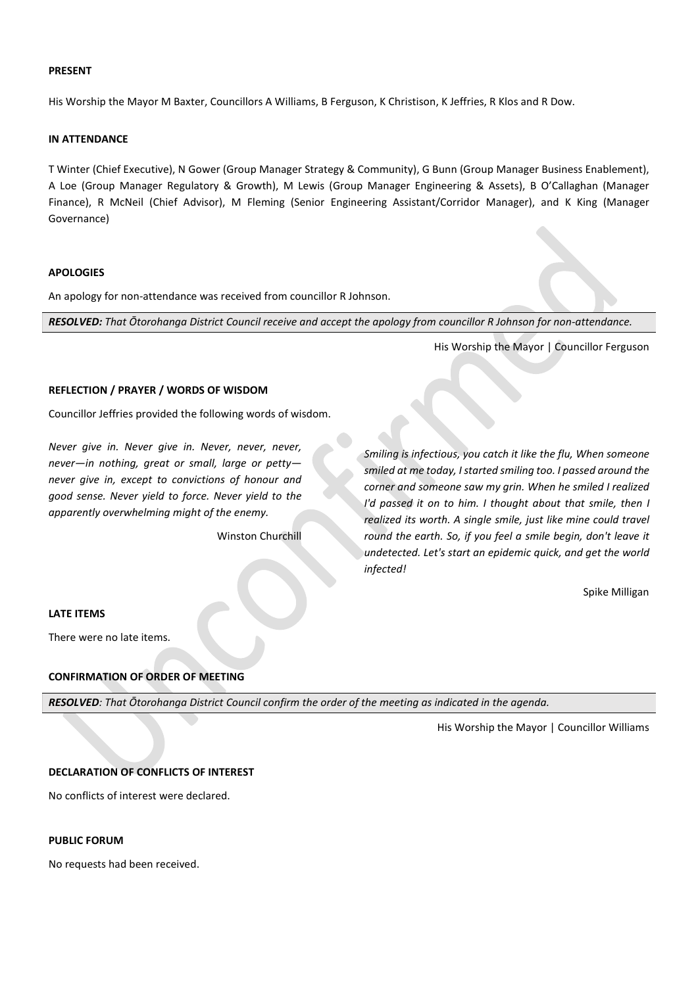#### **PRESENT**

His Worship the Mayor M Baxter, Councillors A Williams, B Ferguson, K Christison, K Jeffries, R Klos and R Dow.

#### **IN ATTENDANCE**

T Winter (Chief Executive), N Gower (Group Manager Strategy & Community), G Bunn (Group Manager Business Enablement), A Loe (Group Manager Regulatory & Growth), M Lewis (Group Manager Engineering & Assets), B O'Callaghan (Manager Finance), R McNeil (Chief Advisor), M Fleming (Senior Engineering Assistant/Corridor Manager), and K King (Manager Governance)

#### <span id="page-2-0"></span>**APOLOGIES**

An apology for non-attendance was received from councillor R Johnson.

*RESOLVED: That Ōtorohanga District Council receive and accept the apology from councillor R Johnson for non-attendance.*

His Worship the Mayor | Councillor Ferguson

#### <span id="page-2-1"></span>**REFLECTION / PRAYER / WORDS OF WISDOM**

Councillor Jeffries provided the following words of wisdom.

*Never give in. Never give in. Never, never, never, never—in nothing, great or small, large or petty never give in, except to convictions of honour and good sense. Never yield to force. Never yield to the apparently overwhelming might of the enemy.*

Winston Churchill

*Smiling is infectious, you catch it like the flu, When someone smiled at me today, I started smiling too. I passed around the corner and someone saw my grin. When he smiled I realized I'd passed it on to him. I thought about that smile, then I realized its worth. A single smile, just like mine could travel round the earth. So, if you feel a smile begin, don't leave it undetected. Let's start an epidemic quick, and get the world infected!*

Spike Milligan

#### <span id="page-2-2"></span>**LATE ITEMS**

There were no late items.

#### <span id="page-2-3"></span>**CONFIRMATION OF ORDER OF MEETING**

*RESOLVED: That Ōtorohanga District Council confirm the order of the meeting as indicated in the agenda.*

His Worship the Mayor | Councillor Williams

#### <span id="page-2-4"></span>**DECLARATION OF CONFLICTS OF INTEREST**

No conflicts of interest were declared.

#### <span id="page-2-5"></span>**PUBLIC FORUM**

No requests had been received.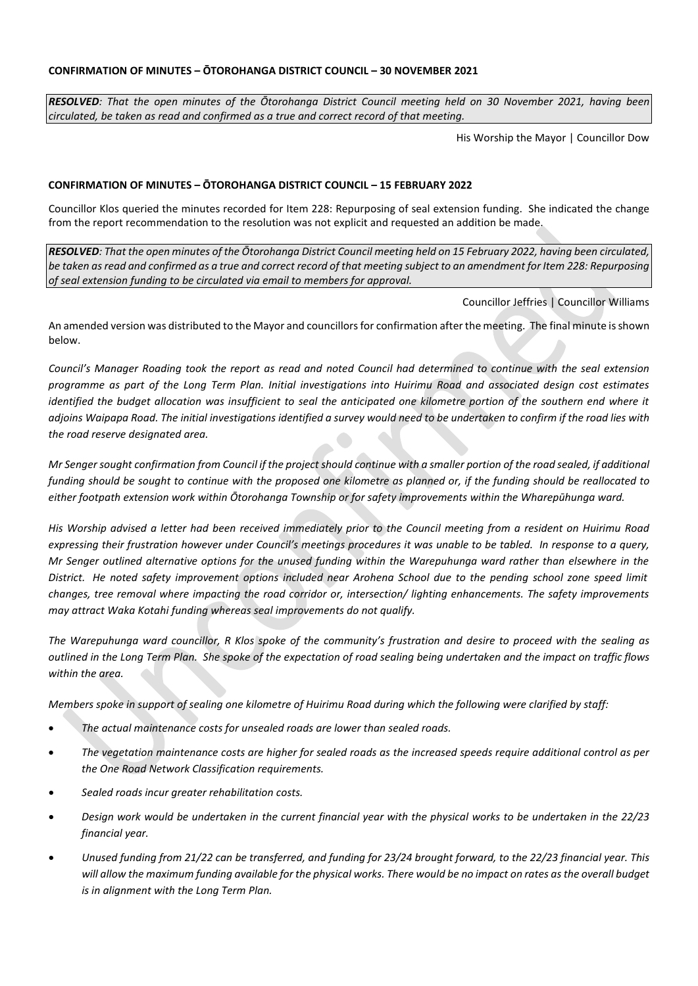#### <span id="page-3-0"></span>**CONFIRMATION OF MINUTES – ŌTOROHANGA DISTRICT COUNCIL – 30 NOVEMBER 2021**

*RESOLVED: That the open minutes of the Ōtorohanga District Council meeting held on 30 November 2021, having been circulated, be taken as read and confirmed as a true and correct record of that meeting.*

His Worship the Mayor | Councillor Dow

#### <span id="page-3-1"></span>**CONFIRMATION OF MINUTES – ŌTOROHANGA DISTRICT COUNCIL – 15 FEBRUARY 2022**

Councillor Klos queried the minutes recorded for Item 228: Repurposing of seal extension funding. She indicated the change from the report recommendation to the resolution was not explicit and requested an addition be made.

*RESOLVED: That the open minutes of the Ōtorohanga District Council meeting held on 15 February 2022, having been circulated, be taken as read and confirmed as a true and correct record of that meeting subject to an amendment for Item 228: Repurposing of seal extension funding to be circulated via email to members for approval.*

Councillor Jeffries | Councillor Williams

An amended version was distributed to the Mayor and councillors for confirmation after the meeting. The final minute is shown below.

Council's Manager Roading took the report as read and noted Council had determined to continue with the seal extension *programme as part of the Long Term Plan. Initial investigations into Huirimu Road and associated design cost estimates*  identified the budget allocation was insufficient to seal the anticipated one kilometre portion of the southern end where it *adjoins Waipapa Road. The initial investigations identified a survey would need to be undertaken to confirm if the road lies with the road reserve designated area.* 

*Mr Senger sought confirmation from Council if the project should continue with a smaller portion of the road sealed, if additional funding should be sought to continue with the proposed one kilometre as planned or, if the funding should be reallocated to either footpath extension work within Ōtorohanga Township or for safety improvements within the Wharepūhunga ward.*

His Worship advised a letter had been received immediately prior to the Council meeting from a resident on Huirimu Road *expressing their frustration however under Council's meetings procedures it was unable to be tabled. In response to a query, Mr Senger outlined alternative options for the unused funding within the Warepuhunga ward rather than elsewhere in the*  District. He noted safety improvement options included near Arohena School due to the pending school zone speed limit *changes, tree removal where impacting the road corridor or, intersection/ lighting enhancements. The safety improvements may attract Waka Kotahi funding whereas seal improvements do not qualify.* 

*The Warepuhunga ward councillor, R Klos spoke of the community's frustration and desire to proceed with the sealing as outlined in the Long Term Plan. She spoke of the expectation of road sealing being undertaken and the impact on traffic flows within the area.*

*Members spoke in support of sealing one kilometre of Huirimu Road during which the following were clarified by staff:*

- *The actual maintenance costs for unsealed roads are lower than sealed roads.*
- *The vegetation maintenance costs are higher for sealed roads as the increased speeds require additional control as per the One Road Network Classification requirements.*
- *Sealed roads incur greater rehabilitation costs.*
- *Design work would be undertaken in the current financial year with the physical works to be undertaken in the 22/23 financial year.*
- *Unused funding from 21/22 can be transferred, and funding for 23/24 brought forward, to the 22/23 financial year. This will allow the maximum funding available for the physical works. There would be no impact on rates as the overall budget is in alignment with the Long Term Plan.*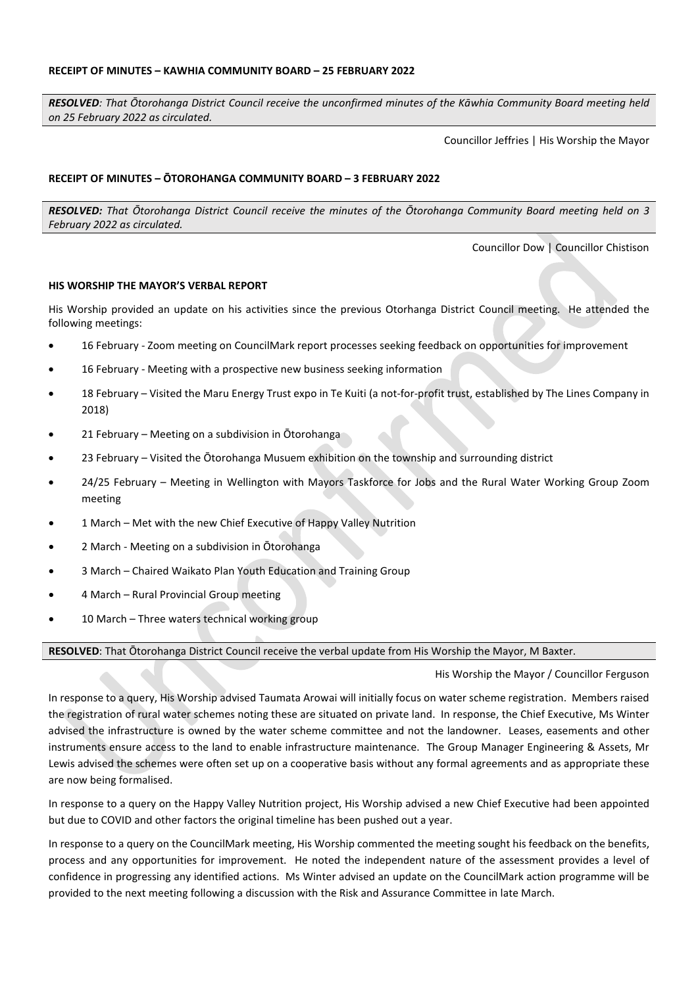<span id="page-4-0"></span>*RESOLVED: That Ōtorohanga District Council receive the unconfirmed minutes of the Kāwhia Community Board meeting held on 25 February 2022 as circulated.*

Councillor Jeffries | His Worship the Mayor

#### <span id="page-4-1"></span>**RECEIPT OF MINUTES – ŌTOROHANGA COMMUNITY BOARD – 3 FEBRUARY 2022**

*RESOLVED: That Ōtorohanga District Council receive the minutes of the Ōtorohanga Community Board meeting held on 3 February 2022 as circulated.*

Councillor Dow | Councillor Chistison

#### <span id="page-4-2"></span>**HIS WORSHIP THE MAYOR'S VERBAL REPORT**

His Worship provided an update on his activities since the previous Otorhanga District Council meeting. He attended the following meetings:

- 16 February Zoom meeting on CouncilMark report processes seeking feedback on opportunities for improvement
- 16 February Meeting with a prospective new business seeking information
- 18 February Visited the Maru Energy Trust expo in Te Kuiti (a not-for-profit trust, established by The Lines Company in 2018)
- 21 February Meeting on a subdivision in Ōtorohanga
- 23 February Visited the Ōtorohanga Musuem exhibition on the township and surrounding district
- 24/25 February Meeting in Wellington with Mayors Taskforce for Jobs and the Rural Water Working Group Zoom meeting
- 1 March Met with the new Chief Executive of Happy Valley Nutrition
- 2 March Meeting on a subdivision in Ōtorohanga
- 3 March Chaired Waikato Plan Youth Education and Training Group
- 4 March Rural Provincial Group meeting
- 10 March Three waters technical working group

**RESOLVED**: That Ōtorohanga District Council receive the verbal update from His Worship the Mayor, M Baxter.

His Worship the Mayor / Councillor Ferguson

In response to a query, His Worship advised Taumata Arowai will initially focus on water scheme registration. Members raised the registration of rural water schemes noting these are situated on private land. In response, the Chief Executive, Ms Winter advised the infrastructure is owned by the water scheme committee and not the landowner. Leases, easements and other instruments ensure access to the land to enable infrastructure maintenance. The Group Manager Engineering & Assets, Mr Lewis advised the schemes were often set up on a cooperative basis without any formal agreements and as appropriate these are now being formalised.

In response to a query on the Happy Valley Nutrition project, His Worship advised a new Chief Executive had been appointed but due to COVID and other factors the original timeline has been pushed out a year.

In response to a query on the CouncilMark meeting, His Worship commented the meeting sought his feedback on the benefits, process and any opportunities for improvement. He noted the independent nature of the assessment provides a level of confidence in progressing any identified actions. Ms Winter advised an update on the CouncilMark action programme will be provided to the next meeting following a discussion with the Risk and Assurance Committee in late March.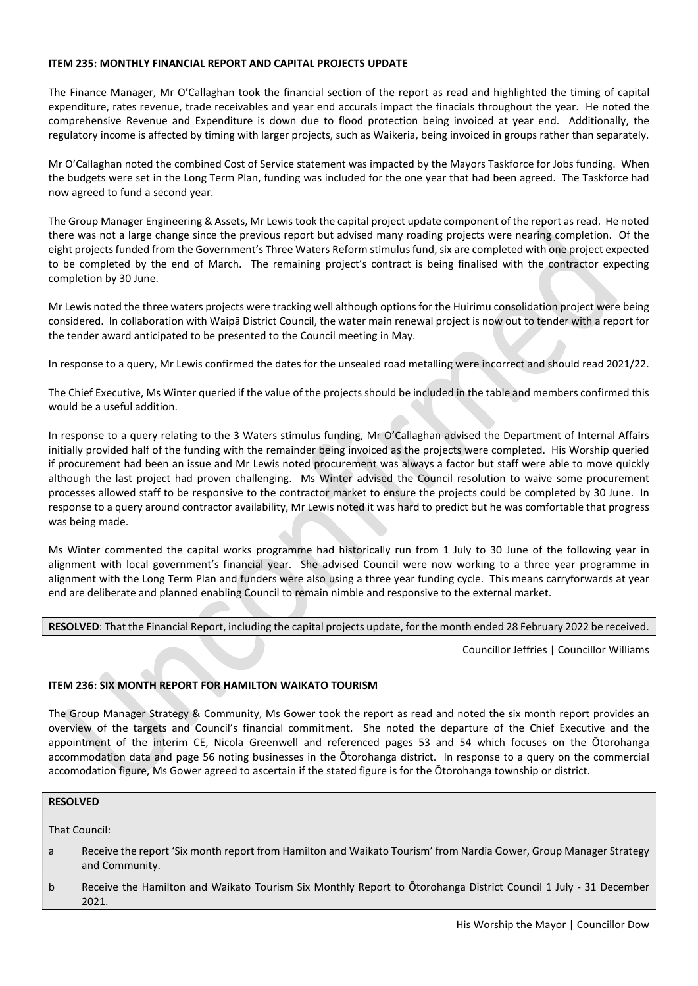#### <span id="page-5-0"></span>**ITEM 235: MONTHLY FINANCIAL REPORT AND CAPITAL PROJECTS UPDATE**

The Finance Manager, Mr O'Callaghan took the financial section of the report as read and highlighted the timing of capital expenditure, rates revenue, trade receivables and year end accurals impact the finacials throughout the year. He noted the comprehensive Revenue and Expenditure is down due to flood protection being invoiced at year end. Additionally, the regulatory income is affected by timing with larger projects, such as Waikeria, being invoiced in groups rather than separately.

Mr O'Callaghan noted the combined Cost of Service statement was impacted by the Mayors Taskforce for Jobs funding. When the budgets were set in the Long Term Plan, funding was included for the one year that had been agreed. The Taskforce had now agreed to fund a second year.

The Group Manager Engineering & Assets, Mr Lewis took the capital project update component of the report as read. He noted there was not a large change since the previous report but advised many roading projects were nearing completion. Of the eight projects funded from the Government's Three Waters Reform stimulus fund, six are completed with one project expected to be completed by the end of March. The remaining project's contract is being finalised with the contractor expecting completion by 30 June.

Mr Lewis noted the three waters projects were tracking well although options for the Huirimu consolidation project were being considered. In collaboration with Waipā District Council, the water main renewal project is now out to tender with a report for the tender award anticipated to be presented to the Council meeting in May.

In response to a query, Mr Lewis confirmed the dates for the unsealed road metalling were incorrect and should read 2021/22.

The Chief Executive, Ms Winter queried if the value of the projects should be included in the table and members confirmed this would be a useful addition.

In response to a query relating to the 3 Waters stimulus funding, Mr O'Callaghan advised the Department of Internal Affairs initially provided half of the funding with the remainder being invoiced as the projects were completed. His Worship queried if procurement had been an issue and Mr Lewis noted procurement was always a factor but staff were able to move quickly although the last project had proven challenging. Ms Winter advised the Council resolution to waive some procurement processes allowed staff to be responsive to the contractor market to ensure the projects could be completed by 30 June. In response to a query around contractor availability, Mr Lewis noted it was hard to predict but he was comfortable that progress was being made.

Ms Winter commented the capital works programme had historically run from 1 July to 30 June of the following year in alignment with local government's financial year. She advised Council were now working to a three year programme in alignment with the Long Term Plan and funders were also using a three year funding cycle. This means carryforwards at year end are deliberate and planned enabling Council to remain nimble and responsive to the external market.

**RESOLVED**: That the Financial Report, including the capital projects update, for the month ended 28 February 2022 be received.

Councillor Jeffries | Councillor Williams

#### <span id="page-5-1"></span>**ITEM 236: SIX MONTH REPORT FOR HAMILTON WAIKATO TOURISM**

The Group Manager Strategy & Community, Ms Gower took the report as read and noted the six month report provides an overview of the targets and Council's financial commitment. She noted the departure of the Chief Executive and the appointment of the interim CE, Nicola Greenwell and referenced pages 53 and 54 which focuses on the Ōtorohanga accommodation data and page 56 noting businesses in the Ōtorohanga district. In response to a query on the commercial accomodation figure, Ms Gower agreed to ascertain if the stated figure is for the Ōtorohanga township or district.

#### **RESOLVED**

That Council:

- a Receive the report 'Six month report from Hamilton and Waikato Tourism' from Nardia Gower, Group Manager Strategy and Community.
- b Receive the Hamilton and Waikato Tourism Six Monthly Report to Ōtorohanga District Council 1 July 31 December 2021.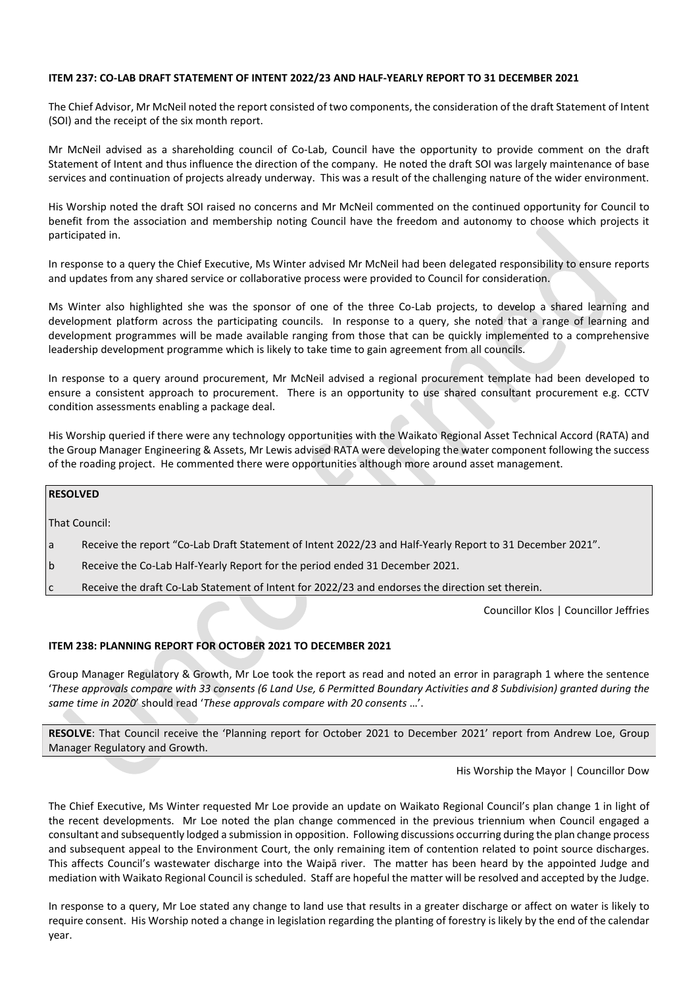#### <span id="page-6-0"></span>**ITEM 237: CO-LAB DRAFT STATEMENT OF INTENT 2022/23 AND HALF-YEARLY REPORT TO 31 DECEMBER 2021**

The Chief Advisor, Mr McNeil noted the report consisted of two components, the consideration of the draft Statement of Intent (SOI) and the receipt of the six month report.

Mr McNeil advised as a shareholding council of Co-Lab, Council have the opportunity to provide comment on the draft Statement of Intent and thus influence the direction of the company. He noted the draft SOI was largely maintenance of base services and continuation of projects already underway. This was a result of the challenging nature of the wider environment.

His Worship noted the draft SOI raised no concerns and Mr McNeil commented on the continued opportunity for Council to benefit from the association and membership noting Council have the freedom and autonomy to choose which projects it participated in.

In response to a query the Chief Executive, Ms Winter advised Mr McNeil had been delegated responsibility to ensure reports and updates from any shared service or collaborative process were provided to Council for consideration.

Ms Winter also highlighted she was the sponsor of one of the three Co-Lab projects, to develop a shared learning and development platform across the participating councils. In response to a query, she noted that a range of learning and development programmes will be made available ranging from those that can be quickly implemented to a comprehensive leadership development programme which is likely to take time to gain agreement from all councils.

In response to a query around procurement, Mr McNeil advised a regional procurement template had been developed to ensure a consistent approach to procurement. There is an opportunity to use shared consultant procurement e.g. CCTV condition assessments enabling a package deal.

His Worship queried if there were any technology opportunities with the Waikato Regional Asset Technical Accord (RATA) and the Group Manager Engineering & Assets, Mr Lewis advised RATA were developing the water component following the success of the roading project. He commented there were opportunities although more around asset management.

#### **RESOLVED**

That Council:

- a Receive the report "Co-Lab Draft Statement of Intent 2022/23 and Half-Yearly Report to 31 December 2021".
- b Receive the Co-Lab Half-Yearly Report for the period ended 31 December 2021.
- c Receive the draft Co-Lab Statement of Intent for 2022/23 and endorses the direction set therein.

Councillor Klos | Councillor Jeffries

#### <span id="page-6-1"></span>**ITEM 238: PLANNING REPORT FOR OCTOBER 2021 TO DECEMBER 2021**

Group Manager Regulatory & Growth, Mr Loe took the report as read and noted an error in paragraph 1 where the sentence '*These approvals compare with 33 consents (6 Land Use, 6 Permitted Boundary Activities and 8 Subdivision) granted during the same time in 2020*' should read '*These approvals compare with 20 consents* …'.

**RESOLVE**: That Council receive the 'Planning report for October 2021 to December 2021' report from Andrew Loe, Group Manager Regulatory and Growth.

His Worship the Mayor | Councillor Dow

The Chief Executive, Ms Winter requested Mr Loe provide an update on Waikato Regional Council's plan change 1 in light of the recent developments. Mr Loe noted the plan change commenced in the previous triennium when Council engaged a consultant and subsequently lodged a submission in opposition. Following discussions occurring during the plan change process and subsequent appeal to the Environment Court, the only remaining item of contention related to point source discharges. This affects Council's wastewater discharge into the Waipā river. The matter has been heard by the appointed Judge and mediation with Waikato Regional Council is scheduled. Staff are hopeful the matter will be resolved and accepted by the Judge.

In response to a query, Mr Loe stated any change to land use that results in a greater discharge or affect on water is likely to require consent. His Worship noted a change in legislation regarding the planting of forestry is likely by the end of the calendar year.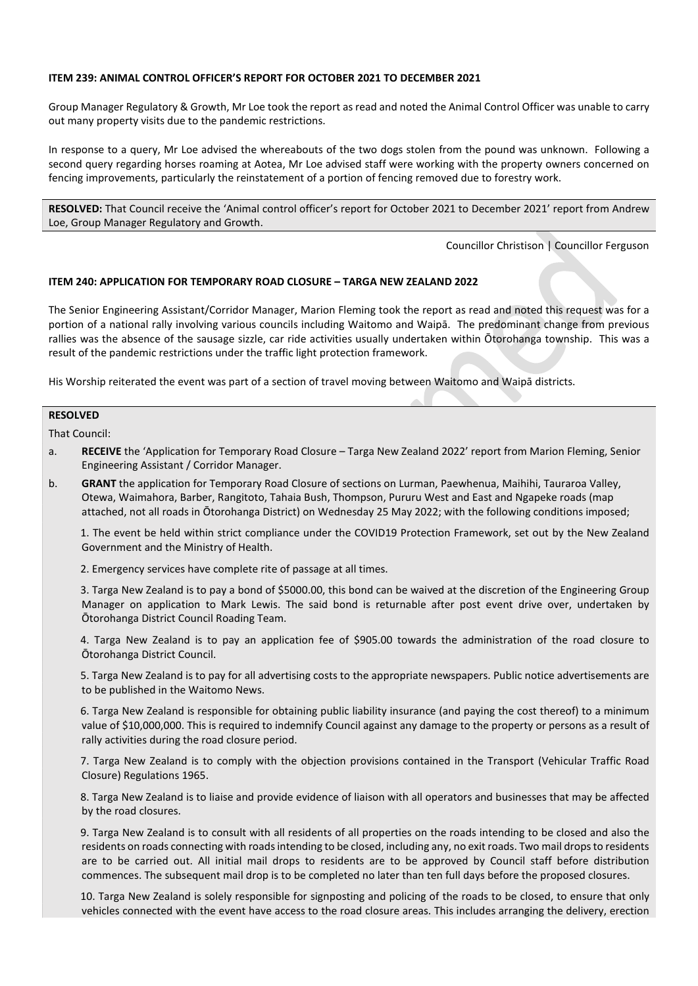#### <span id="page-7-0"></span>**ITEM 239: ANIMAL CONTROL OFFICER'S REPORT FOR OCTOBER 2021 TO DECEMBER 2021**

Group Manager Regulatory & Growth, Mr Loe took the report as read and noted the Animal Control Officer was unable to carry out many property visits due to the pandemic restrictions.

In response to a query, Mr Loe advised the whereabouts of the two dogs stolen from the pound was unknown. Following a second query regarding horses roaming at Aotea, Mr Loe advised staff were working with the property owners concerned on fencing improvements, particularly the reinstatement of a portion of fencing removed due to forestry work.

**RESOLVED:** That Council receive the 'Animal control officer's report for October 2021 to December 2021' report from Andrew Loe, Group Manager Regulatory and Growth.

Councillor Christison | Councillor Ferguson

#### <span id="page-7-1"></span>**ITEM 240: APPLICATION FOR TEMPORARY ROAD CLOSURE – TARGA NEW ZEALAND 2022**

The Senior Engineering Assistant/Corridor Manager, Marion Fleming took the report as read and noted this request was for a portion of a national rally involving various councils including Waitomo and Waipā. The predominant change from previous rallies was the absence of the sausage sizzle, car ride activities usually undertaken within Ōtorohanga township. This was a result of the pandemic restrictions under the traffic light protection framework.

His Worship reiterated the event was part of a section of travel moving between Waitomo and Waipā districts.

#### **RESOLVED**

That Council:

- a. **RECEIVE** the 'Application for Temporary Road Closure Targa New Zealand 2022' report from Marion Fleming, Senior Engineering Assistant / Corridor Manager.
- b. **GRANT** the application for Temporary Road Closure of sections on Lurman, Paewhenua, Maihihi, Tauraroa Valley, Otewa, Waimahora, Barber, Rangitoto, Tahaia Bush, Thompson, Pururu West and East and Ngapeke roads (map attached, not all roads in Ōtorohanga District) on Wednesday 25 May 2022; with the following conditions imposed;

 1. The event be held within strict compliance under the COVID19 Protection Framework, set out by the New Zealand Government and the Ministry of Health.

2. Emergency services have complete rite of passage at all times.

 3. Targa New Zealand is to pay a bond of \$5000.00, this bond can be waived at the discretion of the Engineering Group Manager on application to Mark Lewis. The said bond is returnable after post event drive over, undertaken by Ōtorohanga District Council Roading Team.

 4. Targa New Zealand is to pay an application fee of \$905.00 towards the administration of the road closure to Ōtorohanga District Council.

 5. Targa New Zealand is to pay for all advertising costs to the appropriate newspapers. Public notice advertisements are to be published in the Waitomo News.

 6. Targa New Zealand is responsible for obtaining public liability insurance (and paying the cost thereof) to a minimum value of \$10,000,000. This is required to indemnify Council against any damage to the property or persons as a result of rally activities during the road closure period.

 7. Targa New Zealand is to comply with the objection provisions contained in the Transport (Vehicular Traffic Road Closure) Regulations 1965.

 8. Targa New Zealand is to liaise and provide evidence of liaison with all operators and businesses that may be affected by the road closures.

 9. Targa New Zealand is to consult with all residents of all properties on the roads intending to be closed and also the residents on roads connecting with roads intending to be closed, including any, no exit roads. Two mail drops to residents are to be carried out. All initial mail drops to residents are to be approved by Council staff before distribution commences. The subsequent mail drop is to be completed no later than ten full days before the proposed closures.

 10. Targa New Zealand is solely responsible for signposting and policing of the roads to be closed, to ensure that only vehicles connected with the event have access to the road closure areas. This includes arranging the delivery, erection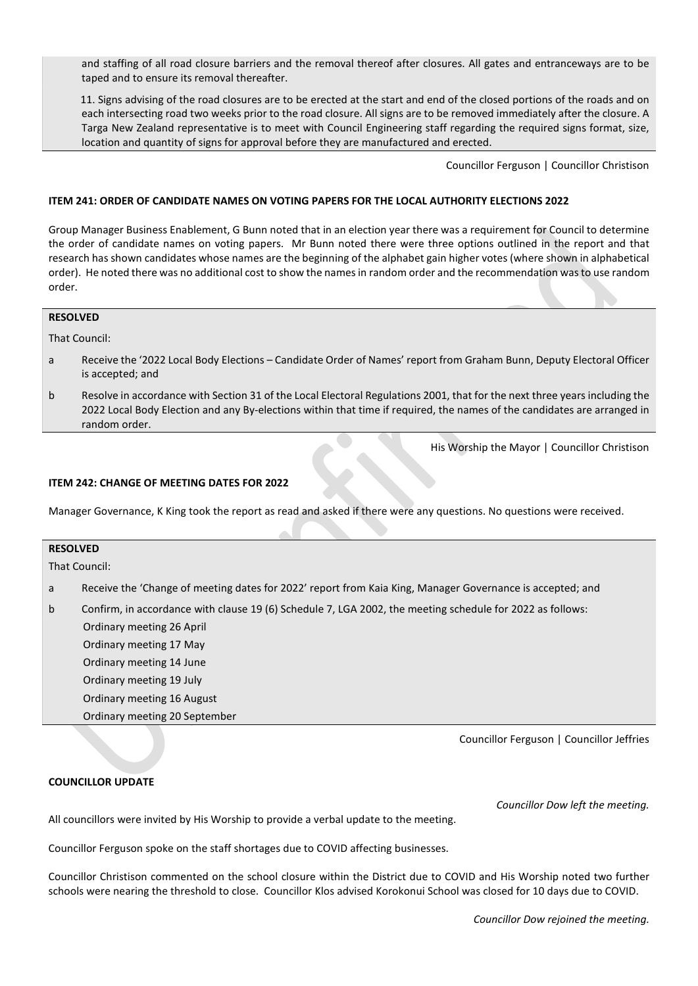and staffing of all road closure barriers and the removal thereof after closures. All gates and entranceways are to be taped and to ensure its removal thereafter.

 11. Signs advising of the road closures are to be erected at the start and end of the closed portions of the roads and on each intersecting road two weeks prior to the road closure. All signs are to be removed immediately after the closure. A Targa New Zealand representative is to meet with Council Engineering staff regarding the required signs format, size, location and quantity of signs for approval before they are manufactured and erected.

Councillor Ferguson | Councillor Christison

#### <span id="page-8-0"></span>**ITEM 241: ORDER OF CANDIDATE NAMES ON VOTING PAPERS FOR THE LOCAL AUTHORITY ELECTIONS 2022**

Group Manager Business Enablement, G Bunn noted that in an election year there was a requirement for Council to determine the order of candidate names on voting papers. Mr Bunn noted there were three options outlined in the report and that research has shown candidates whose names are the beginning of the alphabet gain higher votes (where shown in alphabetical order). He noted there was no additional cost to show the names in random order and the recommendation was to use random order.

#### **RESOLVED**

That Council:

- a Receive the '2022 Local Body Elections Candidate Order of Names' report from Graham Bunn, Deputy Electoral Officer is accepted; and
- b Resolve in accordance with Section 31 of the Local Electoral Regulations 2001, that for the next three years including the 2022 Local Body Election and any By-elections within that time if required, the names of the candidates are arranged in random order.

His Worship the Mayor | Councillor Christison

#### <span id="page-8-1"></span>**ITEM 242: CHANGE OF MEETING DATES FOR 2022**

Manager Governance, K King took the report as read and asked if there were any questions. No questions were received.

| <b>RESOLVED</b> |                                                                                                           |  |  |  |
|-----------------|-----------------------------------------------------------------------------------------------------------|--|--|--|
| That Council:   |                                                                                                           |  |  |  |
| a               | Receive the 'Change of meeting dates for 2022' report from Kaia King, Manager Governance is accepted; and |  |  |  |
| $\mathsf{b}$    | Confirm, in accordance with clause 19 (6) Schedule 7, LGA 2002, the meeting schedule for 2022 as follows: |  |  |  |
|                 | Ordinary meeting 26 April                                                                                 |  |  |  |
|                 | Ordinary meeting 17 May                                                                                   |  |  |  |
|                 | Ordinary meeting 14 June                                                                                  |  |  |  |
|                 | Ordinary meeting 19 July                                                                                  |  |  |  |
|                 | Ordinary meeting 16 August                                                                                |  |  |  |

Ordinary meeting 20 September

Councillor Ferguson | Councillor Jeffries

#### <span id="page-8-2"></span>**COUNCILLOR UPDATE**

*Councillor Dow left the meeting.* All councillors were invited by His Worship to provide a verbal update to the meeting.

Councillor Ferguson spoke on the staff shortages due to COVID affecting businesses.

Councillor Christison commented on the school closure within the District due to COVID and His Worship noted two further schools were nearing the threshold to close. Councillor Klos advised Korokonui School was closed for 10 days due to COVID.